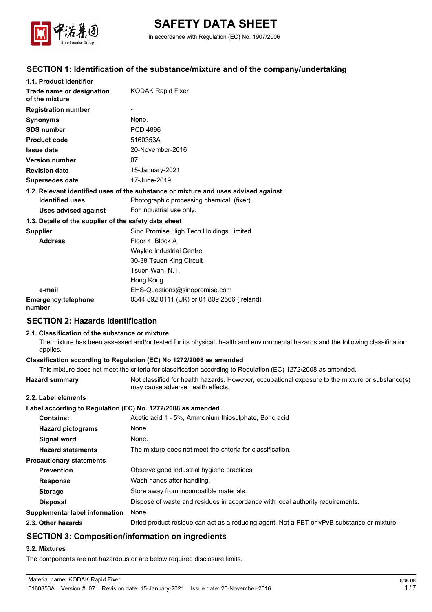

# **SAFETY DATA SHEET**

In accordance with Regulation (EC) No. 1907/2006

# **SECTION 1: Identification of the substance/mixture and of the company/undertaking**

| 1.1. Product identifier                               |                                                                                    |  |
|-------------------------------------------------------|------------------------------------------------------------------------------------|--|
| Trade name or designation<br>of the mixture           | KODAK Rapid Fixer                                                                  |  |
| <b>Registration number</b>                            |                                                                                    |  |
| <b>Synonyms</b>                                       | None.                                                                              |  |
| <b>SDS number</b>                                     | <b>PCD 4896</b>                                                                    |  |
| <b>Product code</b>                                   | 5160353A                                                                           |  |
| <b>Issue date</b>                                     | 20-November-2016                                                                   |  |
| <b>Version number</b>                                 | 07                                                                                 |  |
| <b>Revision date</b>                                  | 15-January-2021                                                                    |  |
| <b>Supersedes date</b>                                | 17-June-2019                                                                       |  |
|                                                       | 1.2. Relevant identified uses of the substance or mixture and uses advised against |  |
| <b>Identified uses</b>                                | Photographic processing chemical. (fixer).                                         |  |
| Uses advised against                                  | For industrial use only.                                                           |  |
| 1.3. Details of the supplier of the safety data sheet |                                                                                    |  |
| <b>Supplier</b>                                       | Sino Promise High Tech Holdings Limited                                            |  |
| <b>Address</b>                                        | Floor 4, Block A                                                                   |  |
|                                                       | Waylee Industrial Centre                                                           |  |
|                                                       | 30-38 Tsuen King Circuit                                                           |  |
|                                                       | Tsuen Wan, N.T.                                                                    |  |
|                                                       | Hong Kong                                                                          |  |
| e-mail                                                | EHS-Questions@sinopromise.com                                                      |  |
| <b>Emergency telephone</b><br>number                  | 0344 892 0111 (UK) or 01 809 2566 (Ireland)                                        |  |

# **SECTION 2: Hazards identification**

#### **2.1. Classification of the substance or mixture**

The mixture has been assessed and/or tested for its physical, health and environmental hazards and the following classification applies.

#### **Classification according to Regulation (EC) No 1272/2008 as amended**

This mixture does not meet the criteria for classification according to Regulation (EC) 1272/2008 as amended.

**Hazard summary** Not classified for health hazards. However, occupational exposure to the mixture or substance(s) may cause adverse health effects.

#### **2.2. Label elements**

#### **Label according to Regulation (EC) No. 1272/2008 as amended**

| <b>Contains:</b>                | Acetic acid 1 - 5%, Ammonium thiosulphate, Boric acid                                      |
|---------------------------------|--------------------------------------------------------------------------------------------|
| <b>Hazard pictograms</b>        | None.                                                                                      |
| <b>Signal word</b>              | None.                                                                                      |
| <b>Hazard statements</b>        | The mixture does not meet the criteria for classification.                                 |
| <b>Precautionary statements</b> |                                                                                            |
| <b>Prevention</b>               | Observe good industrial hygiene practices.                                                 |
| <b>Response</b>                 | Wash hands after handling.                                                                 |
| <b>Storage</b>                  | Store away from incompatible materials.                                                    |
| <b>Disposal</b>                 | Dispose of waste and residues in accordance with local authority requirements.             |
| Supplemental label information  | None.                                                                                      |
| 2.3. Other hazards              | Dried product residue can act as a reducing agent. Not a PBT or vPvB substance or mixture. |
|                                 |                                                                                            |

# **SECTION 3: Composition/information on ingredients**

#### **3.2. Mixtures**

The components are not hazardous or are below required disclosure limits.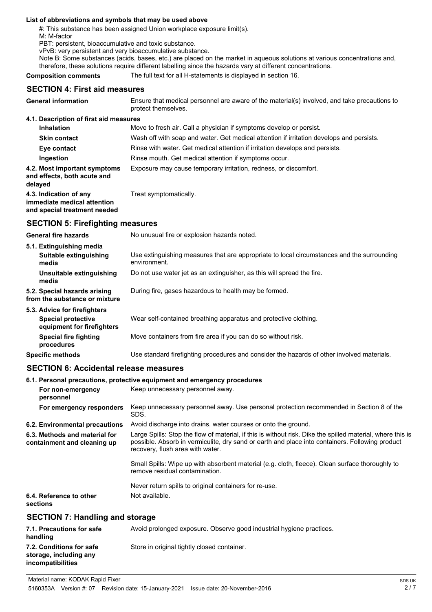#### **List of abbreviations and symbols that may be used above**

#: This substance has been assigned Union workplace exposure limit(s).

M: M-factor

PBT: persistent, bioaccumulative and toxic substance.

vPvB: very persistent and very bioaccumulative substance.

Note B: Some substances (acids, bases, etc.) are placed on the market in aqueous solutions at various concentrations and, therefore, these solutions require different labelling since the hazards vary at different concentrations.

**Composition comments** The full text for all H-statements is displayed in section 16.

# **SECTION 4: First aid measures**

| <b>General information</b>                                                            | Ensure that medical personnel are aware of the material(s) involved, and take precautions to<br>protect themselves. |
|---------------------------------------------------------------------------------------|---------------------------------------------------------------------------------------------------------------------|
| 4.1. Description of first aid measures                                                |                                                                                                                     |
| <b>Inhalation</b>                                                                     | Move to fresh air. Call a physician if symptoms develop or persist.                                                 |
| <b>Skin contact</b>                                                                   | Wash off with soap and water. Get medical attention if irritation develops and persists.                            |
| Eye contact                                                                           | Rinse with water. Get medical attention if irritation develops and persists.                                        |
| Ingestion                                                                             | Rinse mouth. Get medical attention if symptoms occur.                                                               |
| 4.2. Most important symptoms<br>and effects, both acute and<br>delayed                | Exposure may cause temporary irritation, redness, or discomfort.                                                    |
| 4.3. Indication of any<br>immediate medical attention<br>and special treatment needed | Treat symptomatically.                                                                                              |

# **SECTION 5: Firefighting measures**

| <b>General fire hazards</b>                                                             | No unusual fire or explosion hazards noted.                                                                |
|-----------------------------------------------------------------------------------------|------------------------------------------------------------------------------------------------------------|
| 5.1. Extinguishing media<br>Suitable extinguishing<br>media                             | Use extinguishing measures that are appropriate to local circumstances and the surrounding<br>environment. |
| Unsuitable extinguishing<br>media                                                       | Do not use water jet as an extinguisher, as this will spread the fire.                                     |
| 5.2. Special hazards arising<br>from the substance or mixture                           | During fire, gases hazardous to health may be formed.                                                      |
| 5.3. Advice for firefighters<br><b>Special protective</b><br>equipment for firefighters | Wear self-contained breathing apparatus and protective clothing.                                           |
| Special fire fighting<br>procedures                                                     | Move containers from fire area if you can do so without risk.                                              |
| <b>Specific methods</b>                                                                 | Use standard firefighting procedures and consider the hazards of other involved materials.                 |

# **SECTION 6: Accidental release measures**

|                                                              | 6.1. Personal precautions, protective equipment and emergency procedures                                                                                                                                                                          |
|--------------------------------------------------------------|---------------------------------------------------------------------------------------------------------------------------------------------------------------------------------------------------------------------------------------------------|
| For non-emergency<br>personnel                               | Keep unnecessary personnel away.                                                                                                                                                                                                                  |
| For emergency responders                                     | Keep unnecessary personnel away. Use personal protection recommended in Section 8 of the<br>SDS.                                                                                                                                                  |
| 6.2. Environmental precautions                               | Avoid discharge into drains, water courses or onto the ground.                                                                                                                                                                                    |
| 6.3. Methods and material for<br>containment and cleaning up | Large Spills: Stop the flow of material, if this is without risk. Dike the spilled material, where this is<br>possible. Absorb in vermiculite, dry sand or earth and place into containers. Following product<br>recovery, flush area with water. |
|                                                              | Small Spills: Wipe up with absorbent material (e.g. cloth, fleece). Clean surface thoroughly to<br>remove residual contamination.                                                                                                                 |
|                                                              | Never return spills to original containers for re-use.                                                                                                                                                                                            |
| 6.4. Reference to other<br>sections                          | Not available.                                                                                                                                                                                                                                    |
| <b>SECTION 7: Handling and storage</b>                       |                                                                                                                                                                                                                                                   |
| 7.1. Precautions for safe<br>ممزاله مرمط                     | Avoid prolonged exposure. Observe good industrial hygiene practices.                                                                                                                                                                              |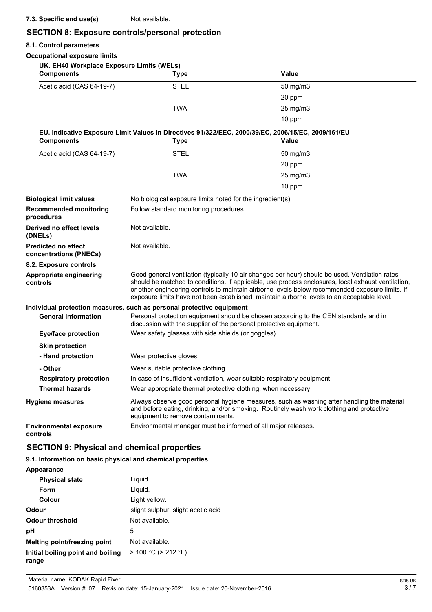# **7.3. Specific end use(s)** Not available.

# **SECTION 8: Exposure controls/personal protection**

# **8.1. Control parameters**

| o. 1. CONTUOL PARAMELETS                             |                                                                                                                                                                                                                                                                                                                                                                                                        |                     |  |
|------------------------------------------------------|--------------------------------------------------------------------------------------------------------------------------------------------------------------------------------------------------------------------------------------------------------------------------------------------------------------------------------------------------------------------------------------------------------|---------------------|--|
| <b>Occupational exposure limits</b>                  |                                                                                                                                                                                                                                                                                                                                                                                                        |                     |  |
| UK. EH40 Workplace Exposure Limits (WELs)            |                                                                                                                                                                                                                                                                                                                                                                                                        |                     |  |
| <b>Components</b>                                    | <b>Type</b>                                                                                                                                                                                                                                                                                                                                                                                            | <b>Value</b>        |  |
| Acetic acid (CAS 64-19-7)                            | <b>STEL</b>                                                                                                                                                                                                                                                                                                                                                                                            | 50 mg/m3            |  |
|                                                      |                                                                                                                                                                                                                                                                                                                                                                                                        | 20 ppm              |  |
|                                                      | <b>TWA</b>                                                                                                                                                                                                                                                                                                                                                                                             | $25 \text{ mg/m}$ 3 |  |
|                                                      |                                                                                                                                                                                                                                                                                                                                                                                                        | 10 ppm              |  |
|                                                      | EU. Indicative Exposure Limit Values in Directives 91/322/EEC, 2000/39/EC, 2006/15/EC, 2009/161/EU                                                                                                                                                                                                                                                                                                     |                     |  |
| <b>Components</b>                                    | <b>Type</b>                                                                                                                                                                                                                                                                                                                                                                                            | Value               |  |
| Acetic acid (CAS 64-19-7)                            | <b>STEL</b>                                                                                                                                                                                                                                                                                                                                                                                            | $50$ mg/m $3$       |  |
|                                                      |                                                                                                                                                                                                                                                                                                                                                                                                        | 20 ppm              |  |
|                                                      | <b>TWA</b>                                                                                                                                                                                                                                                                                                                                                                                             | 25 mg/m3            |  |
|                                                      |                                                                                                                                                                                                                                                                                                                                                                                                        | 10 ppm              |  |
| <b>Biological limit values</b>                       | No biological exposure limits noted for the ingredient(s).                                                                                                                                                                                                                                                                                                                                             |                     |  |
| <b>Recommended monitoring</b><br>procedures          | Follow standard monitoring procedures.                                                                                                                                                                                                                                                                                                                                                                 |                     |  |
| Derived no effect levels<br>(DNELs)                  | Not available.                                                                                                                                                                                                                                                                                                                                                                                         |                     |  |
| <b>Predicted no effect</b><br>concentrations (PNECs) | Not available.                                                                                                                                                                                                                                                                                                                                                                                         |                     |  |
| 8.2. Exposure controls                               |                                                                                                                                                                                                                                                                                                                                                                                                        |                     |  |
| Appropriate engineering<br>controls                  | Good general ventilation (typically 10 air changes per hour) should be used. Ventilation rates<br>should be matched to conditions. If applicable, use process enclosures, local exhaust ventilation,<br>or other engineering controls to maintain airborne levels below recommended exposure limits. If<br>exposure limits have not been established, maintain airborne levels to an acceptable level. |                     |  |
|                                                      | Individual protection measures, such as personal protective equipment                                                                                                                                                                                                                                                                                                                                  |                     |  |
| <b>General information</b>                           | Personal protection equipment should be chosen according to the CEN standards and in<br>discussion with the supplier of the personal protective equipment.                                                                                                                                                                                                                                             |                     |  |
| <b>Eye/face protection</b>                           | Wear safety glasses with side shields (or goggles).                                                                                                                                                                                                                                                                                                                                                    |                     |  |
| <b>Skin protection</b>                               |                                                                                                                                                                                                                                                                                                                                                                                                        |                     |  |
| - Hand protection                                    | Wear protective gloves.                                                                                                                                                                                                                                                                                                                                                                                |                     |  |
| - Other                                              | Wear suitable protective clothing.                                                                                                                                                                                                                                                                                                                                                                     |                     |  |
| <b>Respiratory protection</b>                        | In case of insufficient ventilation, wear suitable respiratory equipment.                                                                                                                                                                                                                                                                                                                              |                     |  |
| <b>Thermal hazards</b>                               | Wear appropriate thermal protective clothing, when necessary.                                                                                                                                                                                                                                                                                                                                          |                     |  |
| <b>Hygiene measures</b>                              | Always observe good personal hygiene measures, such as washing after handling the material<br>and before eating, drinking, and/or smoking. Routinely wash work clothing and protective<br>equipment to remove contaminants.                                                                                                                                                                            |                     |  |
| <b>Environmental exposure</b><br>controls            | Environmental manager must be informed of all major releases.                                                                                                                                                                                                                                                                                                                                          |                     |  |

# **SECTION 9: Physical and chemical properties**

# **9.1. Information on basic physical and chemical properties**

| Appearance                                 |                                    |
|--------------------------------------------|------------------------------------|
| <b>Physical state</b>                      | Liguid.                            |
| Form                                       | Liguid.                            |
| Colour                                     | Light yellow.                      |
| Odour                                      | slight sulphur, slight acetic acid |
| Odour threshold                            | Not available.                     |
| рH                                         | 5                                  |
| <b>Melting point/freezing point</b>        | Not available.                     |
| Initial boiling point and boiling<br>range | $> 100 °C$ ( $> 212 °F$ )          |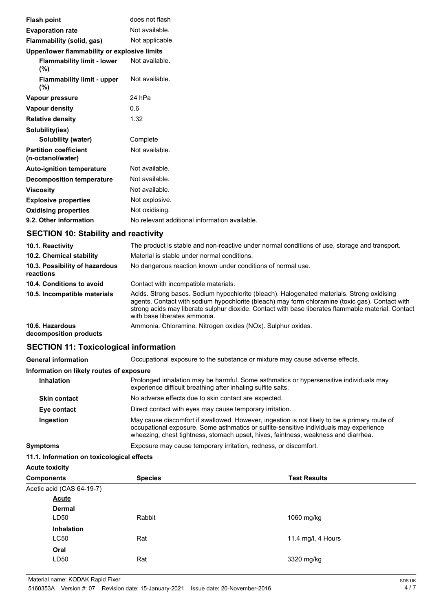| <b>Flash point</b>                                | does not flash                                |
|---------------------------------------------------|-----------------------------------------------|
|                                                   | Not available.                                |
| <b>Evaporation rate</b>                           |                                               |
| Flammability (solid, gas)                         | Not applicable.                               |
| Upper/lower flammability or explosive limits      |                                               |
| <b>Flammability limit - lower</b><br>$(\%)$       | Not available.                                |
| <b>Flammability limit - upper</b><br>(%)          | Not available.                                |
| Vapour pressure                                   | 24 hPa                                        |
| <b>Vapour density</b>                             | 0.6                                           |
| <b>Relative density</b>                           | 1.32                                          |
| Solubility(ies)                                   |                                               |
| Solubility (water)                                | Complete                                      |
| <b>Partition coefficient</b><br>(n-octanol/water) | Not available.                                |
| <b>Auto-ignition temperature</b>                  | Not available.                                |
| <b>Decomposition temperature</b>                  | Not available.                                |
| <b>Viscosity</b>                                  | Not available.                                |
| <b>Explosive properties</b>                       | Not explosive.                                |
| <b>Oxidising properties</b>                       | Not oxidising.                                |
| 9.2. Other information                            | No relevant additional information available. |

# **SECTION 10: Stability and reactivity**

| 10.1. Reactivity                            | The product is stable and non-reactive under normal conditions of use, storage and transport.                                                                                                                                                                                                                                       |  |
|---------------------------------------------|-------------------------------------------------------------------------------------------------------------------------------------------------------------------------------------------------------------------------------------------------------------------------------------------------------------------------------------|--|
| 10.2. Chemical stability                    | Material is stable under normal conditions.                                                                                                                                                                                                                                                                                         |  |
| 10.3. Possibility of hazardous<br>reactions | No dangerous reaction known under conditions of normal use.                                                                                                                                                                                                                                                                         |  |
| 10.4. Conditions to avoid                   | Contact with incompatible materials.                                                                                                                                                                                                                                                                                                |  |
| 10.5. Incompatible materials                | Acids. Strong bases. Sodium hypochlorite (bleach). Halogenated materials. Strong oxidising<br>agents. Contact with sodium hypochlorite (bleach) may form chloramine (toxic gas). Contact with<br>strong acids may liberate sulphur dioxide. Contact with base liberates flammable material. Contact<br>with base liberates ammonia. |  |
| 10.6. Hazardous<br>decomposition products   | Ammonia. Chloramine. Nitrogen oxides (NOx). Sulphur oxides.                                                                                                                                                                                                                                                                         |  |

# **SECTION 11: Toxicological information**

| <b>General information</b> | Occupational exposure to the substance or mixture may cause adverse effects. |  |
|----------------------------|------------------------------------------------------------------------------|--|
|                            |                                                                              |  |

# **Information on likely routes of exposure**

| <b>Inhalation</b>   | Prolonged inhalation may be harmful. Some asthmatics or hypersensitive individuals may<br>experience difficult breathing after inhaling sulfite salts.                                                                                                                       |  |
|---------------------|------------------------------------------------------------------------------------------------------------------------------------------------------------------------------------------------------------------------------------------------------------------------------|--|
| <b>Skin contact</b> | No adverse effects due to skin contact are expected.                                                                                                                                                                                                                         |  |
| Eye contact         | Direct contact with eyes may cause temporary irritation.                                                                                                                                                                                                                     |  |
| Ingestion           | May cause discomfort if swallowed. However, ingestion is not likely to be a primary route of<br>occupational exposure. Some asthmatics or sulfite-sensitive individuals may experience<br>wheezing, chest tightness, stomach upset, hives, faintness, weakness and diarrhea. |  |

**Symptoms** Exposure may cause temporary irritation, redness, or discomfort.

#### **11.1. Information on toxicological effects**

| <b>Acute toxicity</b> |                           |                |                     |
|-----------------------|---------------------------|----------------|---------------------|
| <b>Components</b>     |                           | <b>Species</b> | <b>Test Results</b> |
|                       | Acetic acid (CAS 64-19-7) |                |                     |
|                       | <b>Acute</b>              |                |                     |
|                       | <b>Dermal</b>             |                |                     |
|                       | LD50                      | Rabbit         | 1060 mg/kg          |
|                       | <b>Inhalation</b>         |                |                     |
|                       | LC50                      | Rat            | 11.4 mg/l, 4 Hours  |
|                       | Oral                      |                |                     |
|                       | LD50                      | Rat            | 3320 mg/kg          |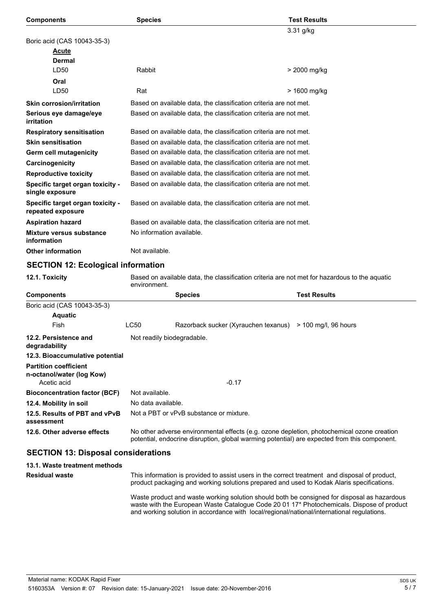| <b>Components</b>                                     | <b>Species</b>                                                    | <b>Test Results</b> |  |
|-------------------------------------------------------|-------------------------------------------------------------------|---------------------|--|
|                                                       |                                                                   | $3.31$ g/kg         |  |
| Boric acid (CAS 10043-35-3)                           |                                                                   |                     |  |
| <b>Acute</b>                                          |                                                                   |                     |  |
| Dermal                                                |                                                                   |                     |  |
| LD50                                                  | Rabbit                                                            | > 2000 mg/kg        |  |
| Oral                                                  |                                                                   |                     |  |
| LD50                                                  | Rat                                                               | > 1600 mg/kg        |  |
| <b>Skin corrosion/irritation</b>                      | Based on available data, the classification criteria are not met. |                     |  |
| Serious eye damage/eye<br>irritation                  | Based on available data, the classification criteria are not met. |                     |  |
| <b>Respiratory sensitisation</b>                      | Based on available data, the classification criteria are not met. |                     |  |
| <b>Skin sensitisation</b>                             | Based on available data, the classification criteria are not met. |                     |  |
| Germ cell mutagenicity                                | Based on available data, the classification criteria are not met. |                     |  |
| Carcinogenicity                                       | Based on available data, the classification criteria are not met. |                     |  |
| <b>Reproductive toxicity</b>                          | Based on available data, the classification criteria are not met. |                     |  |
| Specific target organ toxicity -<br>single exposure   | Based on available data, the classification criteria are not met. |                     |  |
| Specific target organ toxicity -<br>repeated exposure | Based on available data, the classification criteria are not met. |                     |  |
| <b>Aspiration hazard</b>                              | Based on available data, the classification criteria are not met. |                     |  |
| Mixture versus substance<br>information               | No information available.                                         |                     |  |
| <b>Other information</b>                              | Not available.                                                    |                     |  |
| <b>SECTION 12: Ecological information</b>             |                                                                   |                     |  |
|                                                       |                                                                   |                     |  |

**12.1. Toxicity** Based on available data, the classification criteria are not met for hazardous to the aquatic environment.

| <b>Components</b>                                         |                                                                                                                                                                                            | <b>Species</b>                          | <b>Test Results</b>    |  |  |
|-----------------------------------------------------------|--------------------------------------------------------------------------------------------------------------------------------------------------------------------------------------------|-----------------------------------------|------------------------|--|--|
| Boric acid (CAS 10043-35-3)                               |                                                                                                                                                                                            |                                         |                        |  |  |
| <b>Aquatic</b>                                            |                                                                                                                                                                                            |                                         |                        |  |  |
| Fish                                                      | LC50                                                                                                                                                                                       | Razorback sucker (Xyrauchen texanus)    | $>$ 100 mg/l, 96 hours |  |  |
| 12.2. Persistence and<br>degradability                    | Not readily biodegradable.                                                                                                                                                                 |                                         |                        |  |  |
| 12.3. Bioaccumulative potential                           |                                                                                                                                                                                            |                                         |                        |  |  |
| <b>Partition coefficient</b><br>n-octanol/water (log Kow) |                                                                                                                                                                                            |                                         |                        |  |  |
| Acetic acid                                               |                                                                                                                                                                                            | $-0.17$                                 |                        |  |  |
| <b>Bioconcentration factor (BCF)</b>                      | Not available.                                                                                                                                                                             |                                         |                        |  |  |
| 12.4. Mobility in soil                                    | No data available.                                                                                                                                                                         |                                         |                        |  |  |
| 12.5. Results of PBT and vPvB<br>assessment               |                                                                                                                                                                                            | Not a PBT or vPvB substance or mixture. |                        |  |  |
| 12.6. Other adverse effects                               | No other adverse environmental effects (e.g. ozone depletion, photochemical ozone creation<br>potential, endocrine disruption, global warming potential) are expected from this component. |                                         |                        |  |  |

# **SECTION 13: Disposal considerations**

| 13.1. Waste treatment methods |                                                                                                                                                                                                                                                                                        |
|-------------------------------|----------------------------------------------------------------------------------------------------------------------------------------------------------------------------------------------------------------------------------------------------------------------------------------|
| <b>Residual waste</b>         | This information is provided to assist users in the correct treatment and disposal of product,<br>product packaging and working solutions prepared and used to Kodak Alaris specifications.                                                                                            |
|                               | Waste product and waste working solution should both be consigned for disposal as hazardous<br>waste with the European Waste Catalogue Code 20 01 17* Photochemicals. Dispose of product<br>and working solution in accordance with local/regional/national/international regulations. |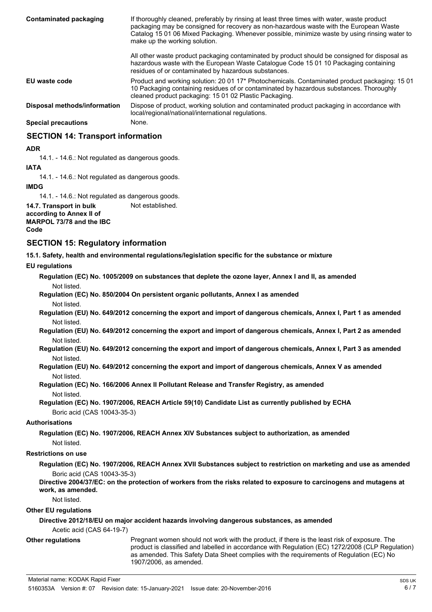| Contaminated packaging       | If thoroughly cleaned, preferably by rinsing at least three times with water, waste product<br>packaging may be consigned for recovery as non-hazardous waste with the European Waste<br>Catalog 15 01 06 Mixed Packaging. Whenever possible, minimize waste by using rinsing water to<br>make up the working solution. |  |
|------------------------------|-------------------------------------------------------------------------------------------------------------------------------------------------------------------------------------------------------------------------------------------------------------------------------------------------------------------------|--|
|                              | All other waste product packaging contaminated by product should be consigned for disposal as<br>hazardous waste with the European Waste Catalogue Code 15 01 10 Packaging containing<br>residues of or contaminated by hazardous substances.                                                                           |  |
| EU waste code                | Product and working solution: 20 01 17 <sup>*</sup> Photochemicals. Contaminated product packaging: 15 01<br>10 Packaging containing residues of or contaminated by hazardous substances. Thoroughly<br>cleaned product packaging: 15 01 02 Plastic Packaging.                                                          |  |
| Disposal methods/information | Dispose of product, working solution and contaminated product packaging in accordance with<br>local/regional/national/international regulations.                                                                                                                                                                        |  |
| <b>Special precautions</b>   | None.                                                                                                                                                                                                                                                                                                                   |  |
|                              |                                                                                                                                                                                                                                                                                                                         |  |

# **SECTION 14: Transport information**

**ADR**

14.1. - 14.6.: Not regulated as dangerous goods.

**IATA**

14.1. - 14.6.: Not regulated as dangerous goods.

**IMDG**

14.1. - 14.6.: Not regulated as dangerous goods.

**14.7. Transport in bulk** Not established.

**according to Annex II of MARPOL 73/78 and the IBC Code**

# **SECTION 15: Regulatory information**

**15.1. Safety, health and environmental regulations/legislation specific for the substance or mixture**

**EU regulations**

**Regulation (EC) No. 1005/2009 on substances that deplete the ozone layer, Annex I and II, as amended** Not listed.

**Regulation (EC) No. 850/2004 On persistent organic pollutants, Annex I as amended** Not listed.

**Regulation (EU) No. 649/2012 concerning the export and import of dangerous chemicals, Annex I, Part 1 as amended** Not listed.

**Regulation (EU) No. 649/2012 concerning the export and import of dangerous chemicals, Annex I, Part 2 as amended** Not listed.

**Regulation (EU) No. 649/2012 concerning the export and import of dangerous chemicals, Annex I, Part 3 as amended** Not listed.

# **Regulation (EU) No. 649/2012 concerning the export and import of dangerous chemicals, Annex V as amended** Not listed.

**Regulation (EC) No. 166/2006 Annex II Pollutant Release and Transfer Registry, as amended** Not listed.

**Regulation (EC) No. 1907/2006, REACH Article 59(10) Candidate List as currently published by ECHA** Boric acid (CAS 10043-35-3)

#### **Authorisations**

**Regulation (EC) No. 1907/2006, REACH Annex XIV Substances subject to authorization, as amended** Not listed.

#### **Restrictions on use**

**Regulation (EC) No. 1907/2006, REACH Annex XVII Substances subject to restriction on marketing and use as amended** Boric acid (CAS 10043-35-3)

# **Directive 2004/37/EC: on the protection of workers from the risks related to exposure to carcinogens and mutagens at work, as amended.**

Not listed.

**Other EU regulations**

# **Directive 2012/18/EU on major accident hazards involving dangerous substances, as amended**

Acetic acid (CAS 64-19-7)

**Other regulations**

Pregnant women should not work with the product, if there is the least risk of exposure. The product is classified and labelled in accordance with Regulation (EC) 1272/2008 (CLP Regulation) as amended. This Safety Data Sheet complies with the requirements of Regulation (EC) No 1907/2006, as amended.